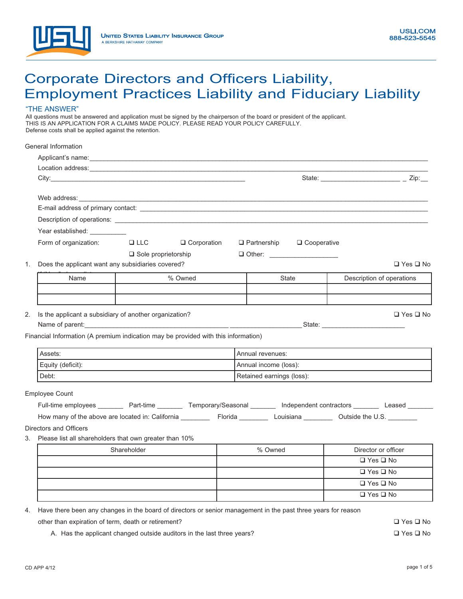

## Corporate Directors and Officers Liability, Employment Practices Liability and Fiduciary Liability

## "THE ANSWER"

All questions must be answered and application must be signed by the chairperson of the board or president of the applicant. THIS IS AN APPLICATION FOR A CLAIMS MADE POLICY. PLEASE READ YOUR POLICY CAREFULLY. Defense costs shall be applied against the retention.

|                                                           | General Information                                                                                                                                                                                                                  |                   |               |                           |               |                                                                                                                         |
|-----------------------------------------------------------|--------------------------------------------------------------------------------------------------------------------------------------------------------------------------------------------------------------------------------------|-------------------|---------------|---------------------------|---------------|-------------------------------------------------------------------------------------------------------------------------|
|                                                           |                                                                                                                                                                                                                                      |                   |               |                           |               |                                                                                                                         |
|                                                           |                                                                                                                                                                                                                                      |                   |               |                           |               |                                                                                                                         |
|                                                           |                                                                                                                                                                                                                                      |                   |               |                           |               | State: ___________________________________ _ Zip:___                                                                    |
|                                                           |                                                                                                                                                                                                                                      |                   |               |                           |               |                                                                                                                         |
|                                                           | E-mail address of primary contact: <u>example and the contract of the set of the set of the set of the set of the set of the set of the set of the set of the set of the set of the set of the set of the set of the set of the </u> |                   |               |                           |               |                                                                                                                         |
|                                                           |                                                                                                                                                                                                                                      |                   |               |                           |               |                                                                                                                         |
|                                                           | Year established: __________                                                                                                                                                                                                         |                   |               |                           |               |                                                                                                                         |
|                                                           | Form of organization:                                                                                                                                                                                                                | <b>Example 12</b> | □ Corporation | $\Box$ Partnership        | □ Cooperative |                                                                                                                         |
|                                                           |                                                                                                                                                                                                                                      |                   |               |                           |               |                                                                                                                         |
| 1.                                                        | $\Box$ Sole proprietorship<br>Does the applicant want any subsidiaries covered?<br>$\Box$ Yes $\Box$ No                                                                                                                              |                   |               |                           |               |                                                                                                                         |
|                                                           |                                                                                                                                                                                                                                      |                   |               |                           |               |                                                                                                                         |
|                                                           | Name                                                                                                                                                                                                                                 |                   | % Owned       |                           | State         | Description of operations                                                                                               |
|                                                           |                                                                                                                                                                                                                                      |                   |               |                           |               |                                                                                                                         |
|                                                           |                                                                                                                                                                                                                                      |                   |               |                           |               |                                                                                                                         |
| 2.                                                        | Is the applicant a subsidiary of another organization?                                                                                                                                                                               |                   |               |                           |               | $\Box$ Yes $\Box$ No                                                                                                    |
|                                                           |                                                                                                                                                                                                                                      |                   |               |                           |               |                                                                                                                         |
|                                                           | Financial Information (A premium indication may be provided with this information)                                                                                                                                                   |                   |               |                           |               |                                                                                                                         |
|                                                           | Assets:                                                                                                                                                                                                                              |                   |               | Annual revenues:          |               |                                                                                                                         |
|                                                           | Equity (deficit):                                                                                                                                                                                                                    |                   |               | Annual income (loss):     |               |                                                                                                                         |
|                                                           | Debt:                                                                                                                                                                                                                                |                   |               | Retained earnings (loss): |               |                                                                                                                         |
|                                                           | <b>Employee Count</b>                                                                                                                                                                                                                |                   |               |                           |               |                                                                                                                         |
|                                                           |                                                                                                                                                                                                                                      |                   |               |                           |               | Full-time employees ________ Part-time ________ Temporary/Seasonal _______ Independent contractors _______ Leased _____ |
|                                                           |                                                                                                                                                                                                                                      |                   |               |                           |               |                                                                                                                         |
|                                                           |                                                                                                                                                                                                                                      |                   |               |                           |               |                                                                                                                         |
|                                                           | Directors and Officers                                                                                                                                                                                                               |                   |               |                           |               |                                                                                                                         |
| 3. Please list all shareholders that own greater than 10% |                                                                                                                                                                                                                                      |                   |               |                           |               |                                                                                                                         |
|                                                           |                                                                                                                                                                                                                                      | Shareholder       |               | % Owned                   |               | Director or officer                                                                                                     |
|                                                           |                                                                                                                                                                                                                                      |                   |               |                           |               | $\Box$ Yes $\Box$ No                                                                                                    |
|                                                           |                                                                                                                                                                                                                                      |                   |               |                           |               | $\Box$ Yes $\Box$ No                                                                                                    |
|                                                           |                                                                                                                                                                                                                                      |                   |               |                           |               | $\Box$ Yes $\Box$ No                                                                                                    |
|                                                           |                                                                                                                                                                                                                                      |                   |               |                           |               | $\Box$ Yes $\Box$ No                                                                                                    |

4. Have there been any changes in the board of directors or senior management in the past three years for reason

other than expiration of term, death or retirement?

A. Has the applicant changed outside auditors in the last three years?

Yes  $\square$  No Yes  $\square$  No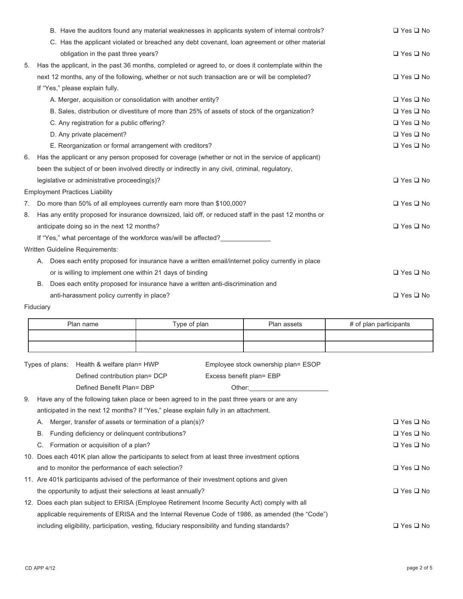|    | B. Have the auditors found any material weaknesses in applicants system of internal controls?        | $\Box$ Yes $\Box$ No |
|----|------------------------------------------------------------------------------------------------------|----------------------|
|    | C. Has the applicant violated or breached any debt covenant, loan agreement or other material        |                      |
|    | obligation in the past three years?                                                                  | $\Box$ Yes $\Box$ No |
| 5. | Has the applicant, in the past 36 months, completed or agreed to, or does it contemplate within the  |                      |
|    | next 12 months, any of the following, whether or not such transaction are or will be completed?      | $\Box$ Yes $\Box$ No |
|    | If "Yes," please explain fully.                                                                      |                      |
|    | A. Merger, acquisition or consolidation with another entity?                                         | $\Box$ Yes $\Box$ No |
|    | B. Sales, distribution or divestiture of more than 25% of assets of stock of the organization?       | $\Box$ Yes $\Box$ No |
|    | C. Any registration for a public offering?                                                           | $\Box$ Yes $\Box$ No |
|    | D. Any private placement?                                                                            | $\Box$ Yes $\Box$ No |
|    | E. Reorganization or formal arrangement with creditors?                                              | $\Box$ Yes $\Box$ No |
| 6. | Has the applicant or any person proposed for coverage (whether or not in the service of applicant)   |                      |
|    | been the subject of or been involved directly or indirectly in any civil, criminal, regulatory,      |                      |
|    | legislative or administrative proceeding(s)?                                                         | $\Box$ Yes $\Box$ No |
|    | <b>Employment Practices Liability</b>                                                                |                      |
| 7. | Do more than 50% of all employees currently earn more than \$100,000?                                | $\Box$ Yes $\Box$ No |
| 8. | Has any entity proposed for insurance downsized, laid off, or reduced staff in the past 12 months or |                      |
|    | anticipate doing so in the next 12 months?                                                           | $\Box$ Yes $\Box$ No |
|    | If "Yes," what percentage of the workforce was/will be affected?                                     |                      |
|    | <b>Written Guideline Requirements:</b>                                                               |                      |
|    | A. Does each entity proposed for insurance have a written email/internet policy currently in place   |                      |
|    | or is willing to implement one within 21 days of binding                                             | $\Box$ Yes $\Box$ No |
|    | Does each entity proposed for insurance have a written anti-discrimination and<br>В.                 |                      |
|    | anti-harassment policy currently in place?                                                           | $\Box$ Yes $\Box$ No |

## Fiduciary

| Plan name | Type of plan | Plan assets | # of plan participants |
|-----------|--------------|-------------|------------------------|
|           |              |             |                        |
|           |              |             |                        |

| Types of plans: Health & welfare plan= HWP | Employee stock ownership plan= ESOP |
|--------------------------------------------|-------------------------------------|
| Defined contribution plan= DCP             | Excess benefit plan= EBP            |
| Defined Benefit Plan= DBP                  | Other:                              |

9. Have any of the following taken place or been agreed to in the past three years or are any anticipated in the next 12 months? If "Yes," please explain fully in an attachment. A. Merger, transfer of assets or termination of a plan(s)? Yes  $\square$  No B. Funding deficiency or delinquent contributions? Yes  $\square$  No C. Formation or acquisition of a plan? Yes  $\square$  No 10. Does each 401K plan allow the participants to select from at least three investment options and to monitor the performance of each selection? Yes  $\square$  No 11. Are 401k participants advised of the performance of their investment options and given the opportunity to adjust their selections at least annually? Yes  $\square$  No

12. Does each plan subject to ERISA (Employee Retirement Income Security Act) comply with all applicable requirements of ERISA and the Internal Revenue Code of 1986, as amended (the "Code") including eligibility, participation, vesting, fiduciary responsibility and funding standards? Yes  $\square$  No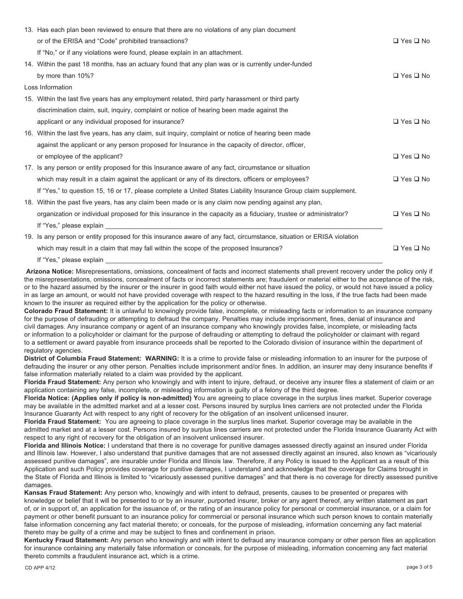| 13. Has each plan been reviewed to ensure that there are no violations of any plan document                           |                      |
|-----------------------------------------------------------------------------------------------------------------------|----------------------|
| or of the ERISA and "Code" prohibited transactions?                                                                   | $\Box$ Yes $\Box$ No |
| If "No," or if any violations were found, please explain in an attachment.                                            |                      |
| 14. Within the past 18 months, has an actuary found that any plan was or is currently under-funded                    |                      |
| by more than 10%?                                                                                                     | $\Box$ Yes $\Box$ No |
| Loss Information                                                                                                      |                      |
| 15. Within the last five years has any employment related, third party harassment or third party                      |                      |
| discrimination claim, suit, inguiry, complaint or notice of hearing been made against the                             |                      |
| applicant or any individual proposed for insurance?                                                                   | $\Box$ Yes $\Box$ No |
| 16. Within the last five years, has any claim, suit inquiry, complaint or notice of hearing been made                 |                      |
| against the applicant or any person proposed for Insurance in the capacity of director, officer,                      |                      |
| or employee of the applicant?                                                                                         | $\Box$ Yes $\Box$ No |
| 17. Is any person or entity proposed for this Insurance aware of any fact, circumstance or situation                  |                      |
| which may result in a claim against the applicant or any of its directors, officers or employees?                     | $\Box$ Yes $\Box$ No |
| If "Yes," to question 15, 16 or 17, please complete a United States Liability Insurance Group claim supplement.       |                      |
| 18. Within the past five years, has any claim been made or is any claim now pending against any plan,                 |                      |
| organization or individual proposed for this insurance in the capacity as a fiduciary, trustee or administrator?      | $\Box$ Yes $\Box$ No |
| If "Yes," please explain                                                                                              |                      |
| 19. Is any person or entity proposed for this insurance aware of any fact, circumstance, situation or ERISA violation |                      |
| which may result in a claim that may fall within the scope of the proposed Insurance?                                 | $\Box$ Yes $\Box$ No |

If "Yes," please explain

**Arizona Notice:** Misrepresentations, omissions, concealment of facts and incorrect statements shall prevent recovery under the policy only if the misrepresentations, omissions, concealment of facts or incorrect statements are; fraudulent or material either to the acceptance of the risk, or to the hazard assumed by the insurer or the insurer in good faith would either not have issued the policy, or would not have issued a policy in as large an amount, or would not have provided coverage with respect to the hazard resulting in the loss, if the true facts had been made known to the insurer as required either by the application for the policy or otherwise.

**Colorado Fraud Statement:** It is unlawful to knowingly provide false, incomplete, or misleading facts or information to an insurance company for the purpose of defrauding or attempting to defraud the company. Penalties may include imprisonment, fines, denial of insurance and civil damages. Any insurance company or agent of an insurance company who knowingly provides false, incomplete, or misleading facts or information to a policyholder or claimant for the purpose of defrauding or attempting to defraud the policyholder or claimant with regard to a settlement or award payable from insurance proceeds shall be reported to the Colorado division of insurance within the department of regulatory agencies.

**District of Columbia Fraud Statement: WARNING:** It is a crime to provide false or misleading information to an insurer for the purpose of defrauding the insurer or any other person. Penalties include imprisonment and/or fines. In addition, an insurer may deny insurance benefits if false information materially related to a claim was provided by the applicant.

**Florida Fraud Statement:** Any person who knowingly and with intent to injure, defraud, or deceive any insurer files a statement of claim or an application containing any false, incomplete, or misleading information is guilty of a felony of the third degree.

Florida Notice: (Applies only if policy is non-admitted) You are agreeing to place coverage in the surplus lines market. Superior coverage may be available in the admitted market and at a lesser cost. Persons insured by surplus lines carriers are not protected under the Florida Insurance Guaranty Act with respect to any right of recovery for the obligation of an insolvent unlicensed insurer.

**Florida Fraud Statement:** You are agreeing to place coverage in the surplus lines market. Superior coverage may be available in the admitted market and at a lesser cost. Persons insured by surplus lines carriers are not protected under the Florida Insurance Guaranty Act with respect to any right of recovery for the obligation of an insolvent unlicensed insurer.

**Florida and Illinois Notice:** I understand that there is no coverage for punitive damages assessed directly against an insured under Florida and Illinois law. However, I also understand that punitive damages that are not assessed directly against an insured, also known as "vicariously assessed punitive damages", are insurable under Florida and Illinois law. Therefore, if any Policy is issued to the Applicant as a result of this Application and such Policy provides coverage for punitive damages, I understand and acknowledge that the coverage for Claims brought in the State of Florida and Illinois is limited to "vicariously assessed punitive damages" and that there is no coverage for directly assessed punitive damages.

**Kansas Fraud Statement:** Any person who, knowingly and with intent to defraud, presents, causes to be presented or prepares with knowledge or belief that it will be presented to or by an insurer, purported insurer, broker or any agent thereof, any written statement as part of, or in support of, an application for the issuance of, or the rating of an insurance policy for personal or commercial insurance, or a claim for payment or other benefit pursuant to an insurance policy for commercial or personal insurance which such person knows to contain materially false information concerning any fact material thereto; or conceals, for the purpose of misleading, information concerning any fact material thereto may be guilty of a crime and may be subject to fines and confinement in prison.

**Kentucky Fraud Statement:** Any person who knowingly and with intent to defraud any insurance company or other person files an application for insurance containing any materially false information or conceals, for the purpose of misleading, information concerning any fact material thereto commits a fraudulent insurance act, which is a crime.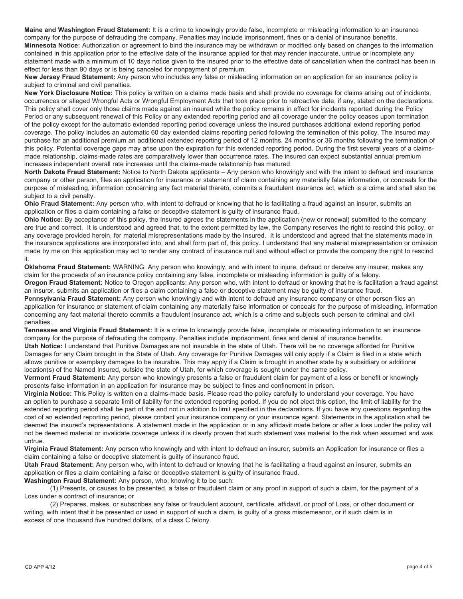**Maine and Washington Fraud Statement:** It is a crime to knowingly provide false, incomplete or misleading information to an insurance company for the purpose of defrauding the company. Penalties may include imprisonment, fines or a denial of insurance benefits. **Minnesota Notice:** Authorization or agreement to bind the insurance may be withdrawn or modified only based on changes to the information contained in this application prior to the effective date of the insurance applied for that may render inaccurate, untrue or incomplete any statement made with a minimum of 10 days notice given to the insured prior to the effective date of cancellation when the contract has been in effect for less than 90 days or is being canceled for nonpayment of premium.

**New Jersey Fraud Statement:** Any person who includes any false or misleading information on an application for an insurance policy is subject to criminal and civil penalties.

**New York Disclosure Notice:** This policy is written on a claims made basis and shall provide no coverage for claims arising out of incidents, occurrences or alleged Wrongful Acts or Wrongful Employment Acts that took place prior to retroactive date, if any, stated on the declarations. This policy shall cover only those claims made against an insured while the policy remains in effect for incidents reported during the Policy Period or any subsequent renewal of this Policy or any extended reporting period and all coverage under the policy ceases upon termination of the policy except for the automatic extended reporting period coverage unless the insured purchases additional extend reporting period coverage. The policy includes an automatic 60 day extended claims reporting period following the termination of this policy. The Insured may purchase for an additional premium an additional extended reporting period of 12 months, 24 months or 36 months following the termination of this policy. Potential coverage gaps may arise upon the expiration for this extended reporting period. During the first several years of a claimsmade relationship, claims-made rates are comparatively lower than occurrence rates. The insured can expect substantial annual premium increases independent overall rate increases until the claims-made relationship has matured.

**North Dakota Fraud Statement:** Notice to North Dakota applicants – Any person who knowingly and with the intent to defraud and insurance company or other person, files an application for insurance or statement of claim containing any materially false information, or conceals for the purpose of misleading, information concerning any fact material thereto, commits a fraudulent insurance act, which is a crime and shall also be subject to a civil penalty.

**Ohio Fraud Statement:** Any person who, with intent to defraud or knowing that he is facilitating a fraud against an insurer, submits an application or files a claim containing a false or deceptive statement is guilty of insurance fraud.

**Ohio Notice:** By acceptance of this policy, the Insured agrees the statements in the application (new or renewal) submitted to the company are true and correct. It is understood and agreed that, to the extent permitted by law, the Company reserves the right to rescind this policy, or any coverage provided herein, for material misrepresentations made by the Insured. It is understood and agreed that the statements made in the insurance applications are incorporated into, and shall form part of, this policy. I understand that any material misrepresentation or omission made by me on this application may act to render any contract of insurance null and without effect or provide the company the right to rescind it.

**Oklahoma Fraud Statement:** WARNING: Any person who knowingly, and with intent to injure, defraud or deceive any insurer, makes any claim for the proceeds of an insurance policy containing any false, incomplete or misleading information is guilty of a felony.

**Oregon Fraud Statement:** Notice to Oregon applicants: Any person who, with intent to defraud or knowing that he is facilitation a fraud against an insurer, submits an application or files a claim containing a false or deceptive statement may be guilty of insurance fraud.

**Pennsylvania Fraud Statement:** Any person who knowingly and with intent to defraud any insurance company or other person files an application for insurance or statement of claim containing any materially false information or conceals for the purpose of misleading, information concerning any fact material thereto commits a fraudulent insurance act, which is a crime and subjects such person to criminal and civil penalties.

**Tennessee and Virginia Fraud Statement:** It is a crime to knowingly provide false, incomplete or misleading information to an insurance company for the purpose of defrauding the company. Penalties include imprisonment, fines and denial of insurance benefits.

**Utah Notice:** I understand that Punitive Damages are not insurable in the state of Utah. There will be no coverage afforded for Punitive Damages for any Claim brought in the State of Utah. Any coverage for Punitive Damages will only apply if a Claim is filed in a state which allows punitive or exemplary damages to be insurable. This may apply if a Claim is brought in another state by a subsidiary or additional location(s) of the Named Insured, outside the state of Utah, for which coverage is sought under the same policy.

**Vermont Fraud Statement:** Any person who knowingly presents a false or fraudulent claim for payment of a loss or benefit or knowingly presents false information in an application for insurance may be subject to fines and confinement in prison.

**Virginia Notice:** This Policy is written on a claims-made basis. Please read the policy carefully to understand your coverage. You have an option to purchase a separate limit of liability for the extended reporting period. If you do not elect this option, the limit of liability for the extended reporting period shall be part of the and not in addition to limit specified in the declarations. If you have any questions regarding the cost of an extended reporting period, please contact your insurance company or your insurance agent. Statements in the application shall be deemed the insured's representations. A statement made in the application or in any affidavit made before or after a loss under the policy will not be deemed material or invalidate coverage unless it is clearly proven that such statement was material to the risk when assumed and was untrue.

**Virginia Fraud Statement:** Any person who knowingly and with intent to defraud an insurer, submits an Application for insurance or files a claim containing a false or deceptive statement is guilty of insurance fraud.

**Utah Fraud Statement:** Any person who, with intent to defraud or knowing that he is facilitating a fraud against an insurer, submits an application or files a claim containing a false or deceptive statement is guilty of insurance fraud.

**Washington Fraud Statement:** Any person, who, knowing it to be such:

 (1) Presents, or causes to be presented, a false or fraudulent claim or any proof in support of such a claim, for the payment of a Loss under a contract of insurance; or

 (2) Prepares, makes, or subscribes any false or fraudulent account, certificate, affidavit, or proof of Loss, or other document or writing, with intent that it be presented or used in support of such a claim, is guilty of a gross misdemeanor, or if such claim is in excess of one thousand five hundred dollars, of a class C felony.